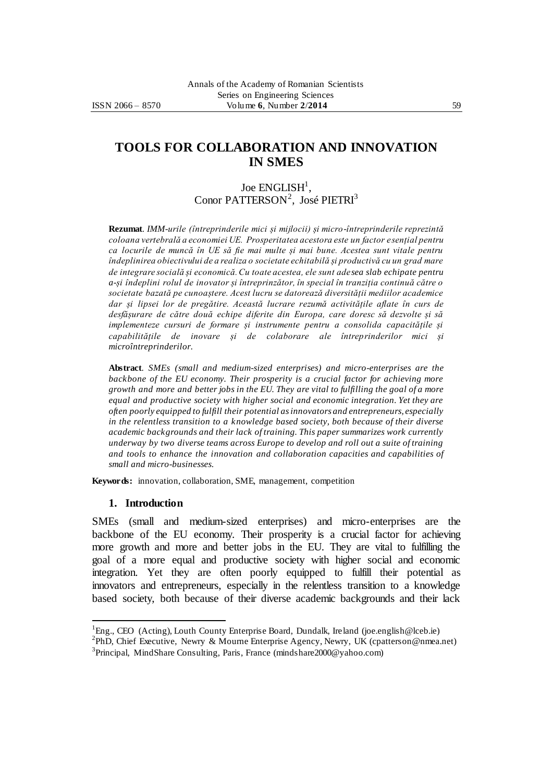# ISSN 2066 – 8570 Volume **6**, Number **2**/**2014** 59

# **TOOLS FOR COLLABORATION AND INNOVATION IN SMES**

# Joe  $\mathrm{ENGLISH}^1,$ Conor PATTERSON<sup>2</sup>, José PIETRI<sup>3</sup>

**Rezumat**. *IMM-urile (întreprinderile mici și mijlocii) și micro-întreprinderile reprezintă coloana vertebrală a economiei UE. Prosperitatea acestora este un factor esențial pentru ca locurile de muncă în UE să fie mai multe și mai bune. Acestea sunt vitale pentru îndeplinirea obiectivului de a realiza o societate echitabilă și productivă cu un grad mare de integrare socială și economică. Cu toate acestea, ele sunt adesea slab echipate pentru a-și îndeplini rolul de inovator și întreprinzător, în special în tranziția continuă către o societate bazată pe cunoaștere. Acest lucru se datorează diversității mediilor academice dar și lipsei lor de pregătire. Această lucrare rezumă activitățile aflate în curs de desfășurare de către două echipe diferite din Europa, care doresc să dezvolte și să implementeze cursuri de formare și instrumente pentru a consolida capacitățile și capabilitățile de inovare și de colaborare ale întreprinderilor mici și microîntreprinderilor.*

**Abstract**. *SMEs (small and medium-sized enterprises) and micro-enterprises are the backbone of the EU economy. Their prosperity is a crucial factor for achieving more growth and more and better jobs in the EU. They are vital to fulfilling the goal of a more equal and productive society with higher social and economic integration. Yet they are often poorly equipped to fulfill their potential as innovators and entrepreneurs, especially in the relentless transition to a knowledge based society, both because of their diverse academic backgrounds and their lack of training. This paper summarizes work currently underway by two diverse teams across Europe to develop and roll out a suite of training and tools to enhance the innovation and collaboration capacities and capabilities of small and micro-businesses.*

**Keywords:** innovation, collaboration, SME, management, competition

#### **1. Introduction**

 $\overline{a}$ 

SMEs (small and medium-sized enterprises) and micro-enterprises are the backbone of the EU economy. Their prosperity is a crucial factor for achieving more growth and more and better jobs in the EU. They are vital to fulfilling the goal of a more equal and productive society with higher social and economic integration. Yet they are often poorly equipped to fulfill their potential as innovators and entrepreneurs, especially in the relentless transition to a knowledge based society, both because of their diverse academic backgrounds and their lack

<sup>&</sup>lt;sup>1</sup>Eng., CEO (Acting), Louth County Enterprise Board, Dundalk, Ireland (joe.english@lceb.ie)

<sup>&</sup>lt;sup>2</sup>PhD, Chief Executive, Newry & Mourne Enterprise Agency, Newry, UK (cpatterson@nmea.net) <sup>3</sup>Principal, MindShare Consulting, Paris, France (mindshare2000@yahoo.com)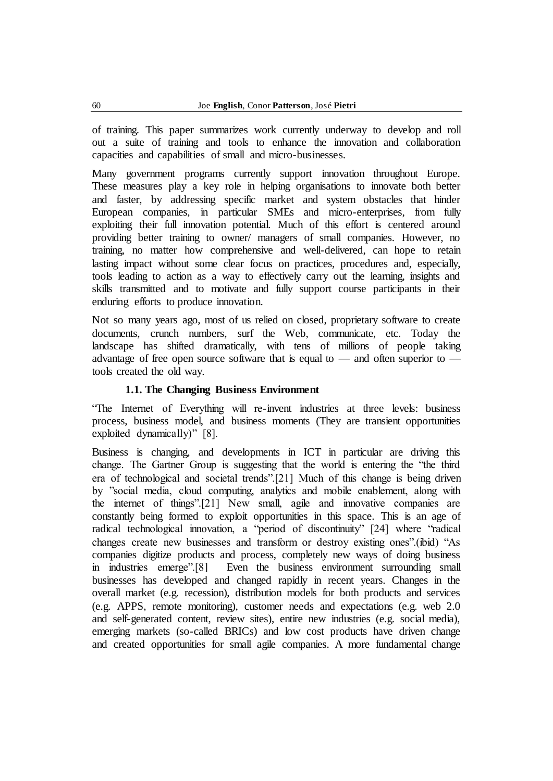of training. This paper summarizes work currently underway to develop and roll out a suite of training and tools to enhance the innovation and collaboration capacities and capabilities of small and micro-businesses.

Many government programs currently support innovation throughout Europe. These measures play a key role in helping organisations to innovate both better and faster, by addressing specific market and system obstacles that hinder European companies, in particular SMEs and micro-enterprises, from fully exploiting their full innovation potential. Much of this effort is centered around providing better training to owner/ managers of small companies. However, no training, no matter how comprehensive and well-delivered, can hope to retain lasting impact without some clear focus on practices, procedures and, especially, tools leading to action as a way to effectively carry out the learning, insights and skills transmitted and to motivate and fully support course participants in their enduring efforts to produce innovation.

Not so many years ago, most of us relied on closed, proprietary software to create documents, crunch numbers, surf the Web, communicate, etc. Today the landscape has shifted dramatically, with tens of millions of people taking advantage of free open source software that is equal to — and often superior to tools created the old way.

# **1.1. The Changing Business Environment**

―The Internet of Everything will re-invent industries at three levels: business process, business model, and business moments (They are transient opportunities exploited dynamically)"  $[8]$ .

Business is changing, and developments in ICT in particular are driving this change. The Gartner Group is suggesting that the world is entering the "the third era of technological and societal trends".[21] Much of this change is being driven by "social media, cloud computing, analytics and mobile enablement, along with the internet of things".<sup>[21]</sup> New small, agile and innovative companies are constantly being formed to exploit opportunities in this space. This is an age of radical technological innovation, a "period of discontinuity" [24] where "radical changes create new businesses and transform or destroy existing ones".(ibid) "As companies digitize products and process, completely new ways of doing business in industries emerge".<sup>[8]</sup> Even the business environment surrounding small businesses has developed and changed rapidly in recent years. Changes in the overall market (e.g. recession), distribution models for both products and services (e.g. APPS, remote monitoring), customer needs and expectations (e.g. web 2.0 and self-generated content, review sites), entire new industries (e.g. social media), emerging markets (so-called BRICs) and low cost products have driven change and created opportunities for small agile companies. A more fundamental change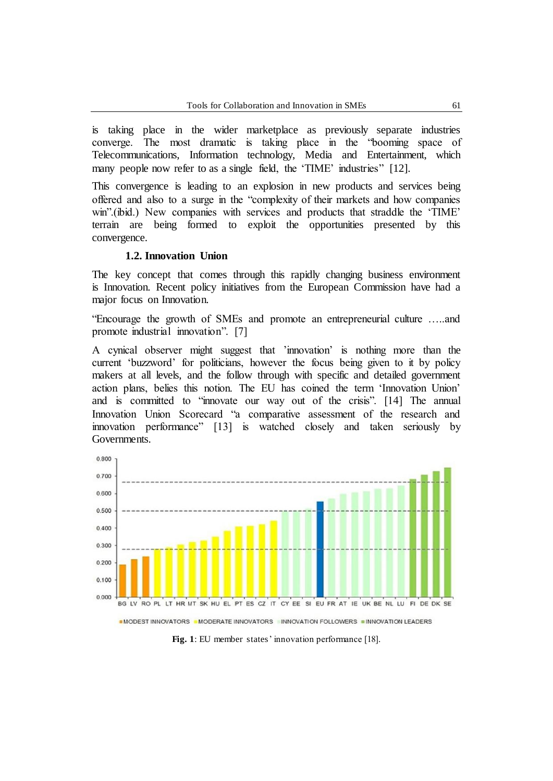is taking place in the wider marketplace as previously separate industries converge. The most dramatic is taking place in the "booming space of Telecommunications, Information technology, Media and Entertainment, which many people now refer to as a single field, the 'TIME' industries'' [12].

This convergence is leading to an explosion in new products and services being offered and also to a surge in the "complexity of their markets and how companies win".(ibid.) New companies with services and products that straddle the 'TIME' terrain are being formed to exploit the opportunities presented by this convergence.

#### **1.2. Innovation Union**

The key concept that comes through this rapidly changing business environment is Innovation. Recent policy initiatives from the European Commission have had a major focus on Innovation.

―Encourage the growth of SMEs and promote an entrepreneurial culture …..and promote industrial innovation". [7]

A cynical observer might suggest that 'innovation' is nothing more than the current 'buzzword' for politicians, however the focus being given to it by policy makers at all levels, and the follow through with specific and detailed government action plans, belies this notion. The EU has coined the term 'Innovation Union' and is committed to "innovate our way out of the crisis". [14] The annual Innovation Union Scorecard "a comparative assessment of the research and innovation performance" [13] is watched closely and taken seriously by Governments.



**Fig. 1**: EU member states' innovation performance [18].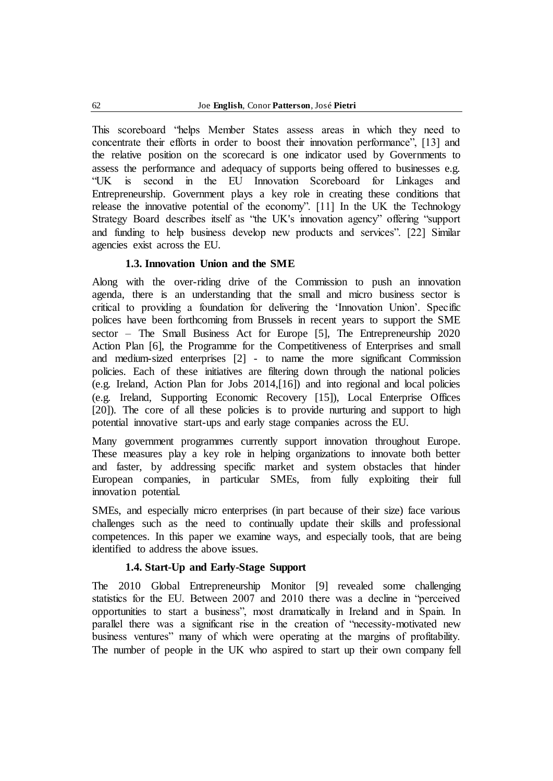This scoreboard "helps Member States assess areas in which they need to concentrate their efforts in order to boost their innovation performance", [13] and the relative position on the scorecard is one indicator used by Governments to assess the performance and adequacy of supports being offered to businesses e.g. ―UK is second in the EU Innovation Scoreboard for Linkages and Entrepreneurship. Government plays a key role in creating these conditions that release the innovative potential of the economy". [11] In the UK the Technology Strategy Board describes itself as "the UK's innovation agency" offering "support and funding to help business develop new products and services". [22] Similar agencies exist across the EU.

# **1.3. Innovation Union and the SME**

Along with the over-riding drive of the Commission to push an innovation agenda, there is an understanding that the small and micro business sector is critical to providing a foundation for delivering the 'Innovation Union'. Specific polices have been forthcoming from Brussels in recent years to support the SME sector – The Small Business Act for Europe [5], The Entrepreneurship 2020 Action Plan [6], the Programme for the Competitiveness of Enterprises and small and medium-sized enterprises [2] - to name the more significant Commission policies. Each of these initiatives are filtering down through the national policies (e.g. Ireland, Action Plan for Jobs 2014,[16]) and into regional and local policies (e.g. Ireland, Supporting Economic Recovery [15]), Local Enterprise Offices [20]). The core of all these policies is to provide nurturing and support to high potential innovative start-ups and early stage companies across the EU.

Many government programmes currently support innovation throughout Europe. These measures play a key role in helping organizations to innovate both better and faster, by addressing specific market and system obstacles that hinder European companies, in particular SMEs, from fully exploiting their full innovation potential.

SMEs, and especially micro enterprises (in part because of their size) face various challenges such as the need to continually update their skills and professional competences. In this paper we examine ways, and especially tools, that are being identified to address the above issues.

## **1.4. Start-Up and Early-Stage Support**

The 2010 Global Entrepreneurship Monitor [9] revealed some challenging statistics for the EU. Between 2007 and 2010 there was a decline in "perceived opportunities to start a business‖, most dramatically in Ireland and in Spain. In parallel there was a significant rise in the creation of "necessity-motivated new business ventures" many of which were operating at the margins of profitability. The number of people in the UK who aspired to start up their own company fell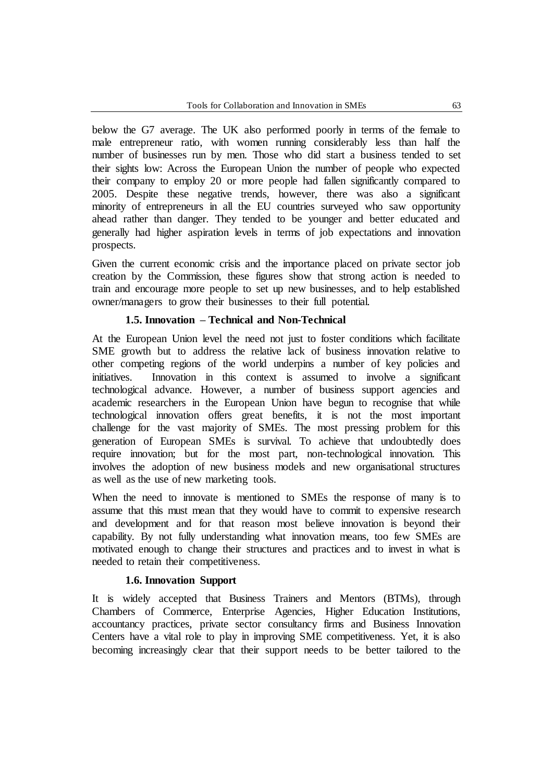below the G7 average. The UK also performed poorly in terms of the female to male entrepreneur ratio, with women running considerably less than half the number of businesses run by men. Those who did start a business tended to set their sights low: Across the European Union the number of people who expected their company to employ 20 or more people had fallen significantly compared to 2005. Despite these negative trends, however, there was also a significant minority of entrepreneurs in all the EU countries surveyed who saw opportunity ahead rather than danger. They tended to be younger and better educated and generally had higher aspiration levels in terms of job expectations and innovation prospects.

Given the current economic crisis and the importance placed on private sector job creation by the Commission, these figures show that strong action is needed to train and encourage more people to set up new businesses, and to help established owner/managers to grow their businesses to their full potential.

## **1.5. Innovation – Technical and Non-Technical**

At the European Union level the need not just to foster conditions which facilitate SME growth but to address the relative lack of business innovation relative to other competing regions of the world underpins a number of key policies and initiatives. Innovation in this context is assumed to involve a significant technological advance. However, a number of business support agencies and academic researchers in the European Union have begun to recognise that while technological innovation offers great benefits, it is not the most important challenge for the vast majority of SMEs. The most pressing problem for this generation of European SMEs is survival. To achieve that undoubtedly does require innovation; but for the most part, non-technological innovation. This involves the adoption of new business models and new organisational structures as well as the use of new marketing tools.

When the need to innovate is mentioned to SMEs the response of many is to assume that this must mean that they would have to commit to expensive research and development and for that reason most believe innovation is beyond their capability. By not fully understanding what innovation means, too few SMEs are motivated enough to change their structures and practices and to invest in what is needed to retain their competitiveness.

## **1.6. Innovation Support**

It is widely accepted that Business Trainers and Mentors (BTMs), through Chambers of Commerce, Enterprise Agencies, Higher Education Institutions, accountancy practices, private sector consultancy firms and Business Innovation Centers have a vital role to play in improving SME competitiveness. Yet, it is also becoming increasingly clear that their support needs to be better tailored to the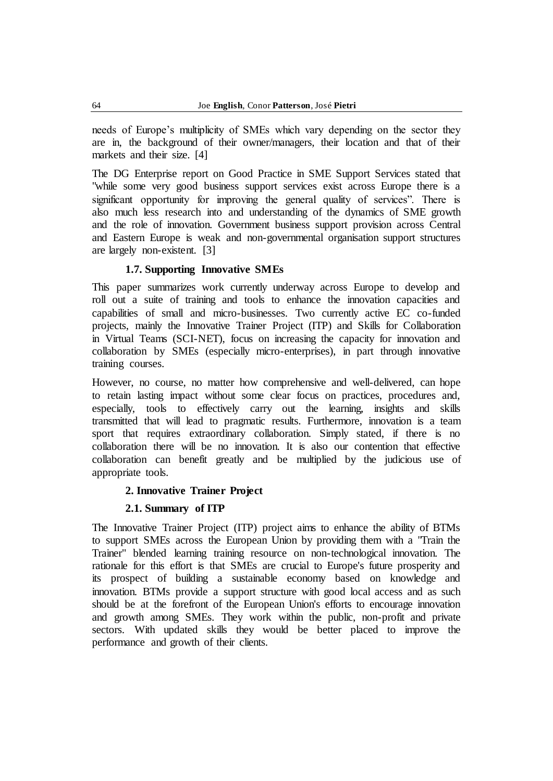needs of Europe's multiplicity of SMEs which vary depending on the sector they are in, the background of their owner/managers, their location and that of their markets and their size. [4]

The DG Enterprise report on Good Practice in SME Support Services stated that "while some very good business support services exist across Europe there is a significant opportunity for improving the general quality of services". There is also much less research into and understanding of the dynamics of SME growth and the role of innovation. Government business support provision across Central and Eastern Europe is weak and non-governmental organisation support structures are largely non-existent. [3]

## **1.7. Supporting Innovative SMEs**

This paper summarizes work currently underway across Europe to develop and roll out a suite of training and tools to enhance the innovation capacities and capabilities of small and micro-businesses. Two currently active EC co-funded projects, mainly the Innovative Trainer Project (ITP) and Skills for Collaboration in Virtual Teams (SCI-NET), focus on increasing the capacity for innovation and collaboration by SMEs (especially micro-enterprises), in part through innovative training courses.

However, no course, no matter how comprehensive and well-delivered, can hope to retain lasting impact without some clear focus on practices, procedures and, especially, tools to effectively carry out the learning, insights and skills transmitted that will lead to pragmatic results. Furthermore, innovation is a team sport that requires extraordinary collaboration. Simply stated, if there is no collaboration there will be no innovation. It is also our contention that effective collaboration can benefit greatly and be multiplied by the judicious use of appropriate tools.

## **2. Innovative Trainer Project**

## **2.1. Summary of ITP**

The Innovative Trainer Project (ITP) project aims to enhance the ability of BTMs to support SMEs across the European Union by providing them with a "Train the Trainer" blended learning training resource on non-technological innovation. The rationale for this effort is that SMEs are crucial to Europe's future prosperity and its prospect of building a sustainable economy based on knowledge and innovation. BTMs provide a support structure with good local access and as such should be at the forefront of the European Union's efforts to encourage innovation and growth among SMEs. They work within the public, non-profit and private sectors. With updated skills they would be better placed to improve the performance and growth of their clients.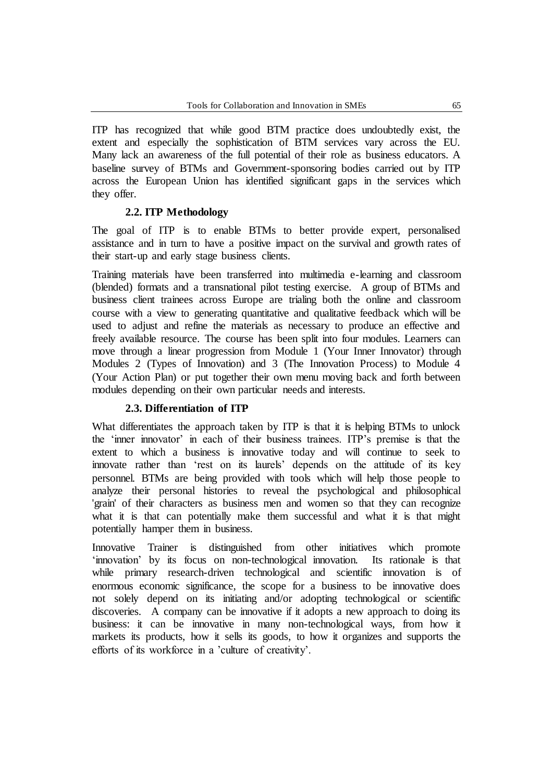ITP has recognized that while good BTM practice does undoubtedly exist, the extent and especially the sophistication of BTM services vary across the EU. Many lack an awareness of the full potential of their role as business educators. A baseline survey of BTMs and Government-sponsoring bodies carried out by ITP across the European Union has identified significant gaps in the services which they offer.

# **2.2. ITP Methodology**

The goal of ITP is to enable BTMs to better provide expert, personalised assistance and in turn to have a positive impact on the survival and growth rates of their start-up and early stage business clients.

Training materials have been transferred into multimedia e-learning and classroom (blended) formats and a transnational pilot testing exercise. A group of BTMs and business client trainees across Europe are trialing both the online and classroom course with a view to generating quantitative and qualitative feedback which will be used to adjust and refine the materials as necessary to produce an effective and freely available resource. The course has been split into four modules. Learners can move through a linear progression from Module 1 (Your Inner Innovator) through Modules 2 (Types of Innovation) and 3 (The Innovation Process) to Module 4 (Your Action Plan) or put together their own menu moving back and forth between modules depending on their own particular needs and interests.

# **2.3. Differentiation of ITP**

What differentiates the approach taken by ITP is that it is helping BTMs to unlock the ‗inner innovator' in each of their business trainees. ITP's premise is that the extent to which a business is innovative today and will continue to seek to innovate rather than 'rest on its laurels' depends on the attitude of its key personnel. BTMs are being provided with tools which will help those people to analyze their personal histories to reveal the psychological and philosophical 'grain' of their characters as business men and women so that they can recognize what it is that can potentially make them successful and what it is that might potentially hamper them in business.

Innovative Trainer is distinguished from other initiatives which promote ‗innovation' by its focus on non-technological innovation. Its rationale is that while primary research-driven technological and scientific innovation is of enormous economic significance, the scope for a business to be innovative does not solely depend on its initiating and/or adopting technological or scientific discoveries. A company can be innovative if it adopts a new approach to doing its business: it can be innovative in many non-technological ways, from how it markets its products, how it sells its goods, to how it organizes and supports the efforts of its workforce in a 'culture of creativity'.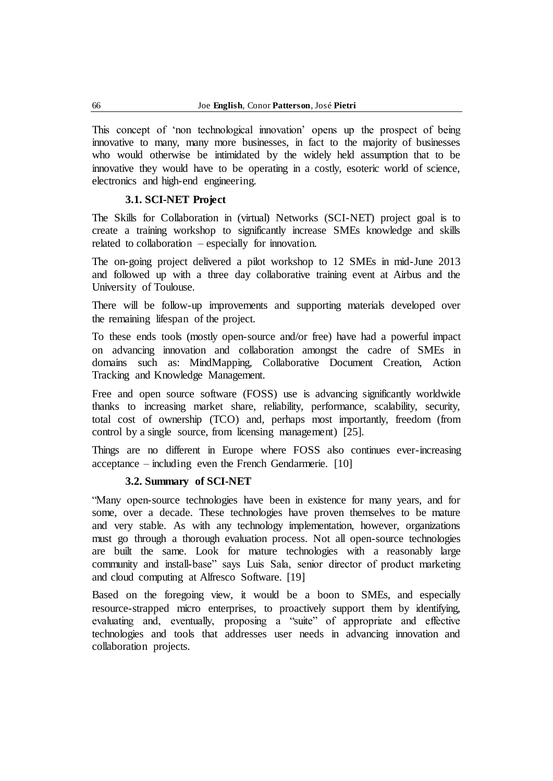This concept of 'non technological innovation' opens up the prospect of being innovative to many, many more businesses, in fact to the majority of businesses who would otherwise be intimidated by the widely held assumption that to be innovative they would have to be operating in a costly, esoteric world of science, electronics and high-end engineering.

# **3.1. SCI-NET Project**

The Skills for Collaboration in (virtual) Networks (SCI-NET) project goal is to create a training workshop to significantly increase SMEs knowledge and skills related to collaboration – especially for innovation.

The on-going project delivered a pilot workshop to 12 SMEs in mid-June 2013 and followed up with a three day collaborative training event at Airbus and the University of Toulouse.

There will be follow-up improvements and supporting materials developed over the remaining lifespan of the project.

To these ends tools (mostly open-source and/or free) have had a powerful impact on advancing innovation and collaboration amongst the cadre of SMEs in domains such as: MindMapping, Collaborative Document Creation, Action Tracking and Knowledge Management.

Free and open source software (FOSS) use is advancing significantly worldwide thanks to increasing market share, reliability, performance, scalability, security, total cost of ownership (TCO) and, perhaps most importantly, freedom (from control by a single source, from licensing management) [25].

Things are no different in Europe where FOSS also continues ever-increasing  $acceptance - including even the French Gendarmerie.$  [10]

## **3.2. Summary of SCI-NET**

―Many open-source technologies have been in existence for many years, and for some, over a decade. These technologies have proven themselves to be mature and very stable. As with any technology implementation, however, organizations must go through a thorough evaluation process. Not all open-source technologies are built the same. Look for mature technologies with a reasonably large community and install-base" says Luis Sala, senior director of product marketing and cloud computing at Alfresco Software. [19]

Based on the foregoing view, it would be a boon to SMEs, and especially resource-strapped micro enterprises, to proactively support them by identifying, evaluating and, eventually, proposing a "suite" of appropriate and effective technologies and tools that addresses user needs in advancing innovation and collaboration projects.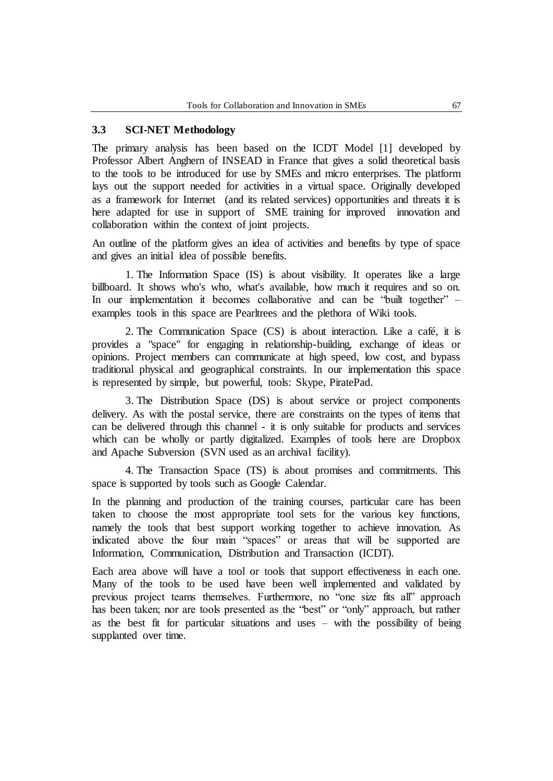## **3.3 SCI-NET Methodology**

The primary analysis has been based on the ICDT Model [1] developed by Professor Albert Anghern of INSEAD in France that gives a solid theoretical basis to the tools to be introduced for use by SMEs and micro enterprises. The platform lays out the support needed for activities in a virtual space. Originally developed as a framework for Internet (and its related services) opportunities and threats it is here adapted for use in support of SME training for improved innovation and collaboration within the context of joint projects.

An outline of the platform gives an idea of activities and benefits by type of space and gives an initial idea of possible benefits.

1. The Information Space (IS) is about visibility. It operates like a large billboard. It shows who's who, what's available, how much it requires and so on. In our implementation it becomes collaborative and can be "built together"  $$ examples tools in this space are Pearltrees and the plethora of Wiki tools.

2. The Communication Space (CS) is about interaction. Like a café, it is provides a "space" for engaging in relationship-building, exchange of ideas or opinions. Project members can communicate at high speed, low cost, and bypass traditional physical and geographical constraints. In our implementation this space is represented by simple, but powerful, tools: Skype, PiratePad.

3. The Distribution Space (DS) is about service or project components delivery. As with the postal service, there are constraints on the types of items that can be delivered through this channel - it is only suitable for products and services which can be wholly or partly digitalized. Examples of tools here are Dropbox and Apache Subversion (SVN used as an archival facility).

4. The Transaction Space (TS) is about promises and commitments. This space is supported by tools such as Google Calendar.

In the planning and production of the training courses, particular care has been taken to choose the most appropriate tool sets for the various key functions, namely the tools that best support working together to achieve innovation. As indicated above the four main "spaces" or areas that will be supported are Information, Communication, Distribution and Transaction (ICDT).

Each area above will have a tool or tools that support effectiveness in each one. Many of the tools to be used have been well implemented and validated by previous project teams themselves. Furthermore, no "one size fits all" approach has been taken; nor are tools presented as the "best" or "only" approach, but rather as the best fit for particular situations and uses – with the possibility of being supplanted over time.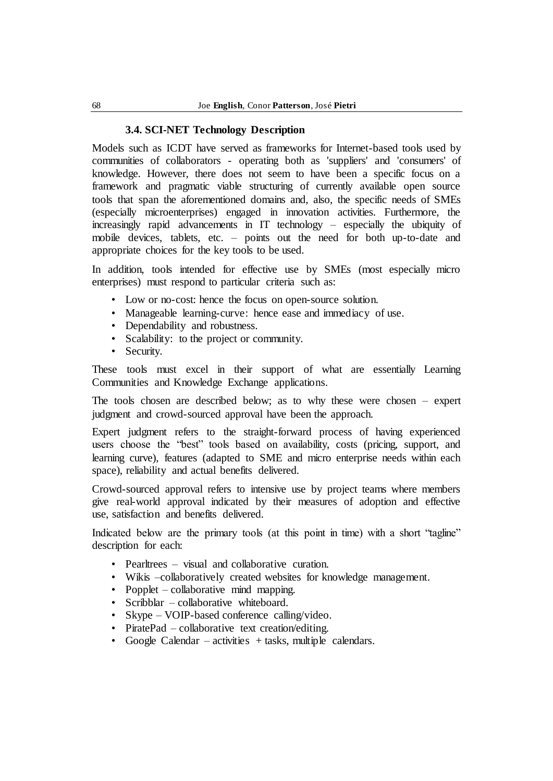#### **3.4. SCI-NET Technology Description**

Models such as ICDT have served as frameworks for Internet-based tools used by communities of collaborators - operating both as 'suppliers' and 'consumers' of knowledge. However, there does not seem to have been a specific focus on a framework and pragmatic viable structuring of currently available open source tools that span the aforementioned domains and, also, the specific needs of SMEs (especially microenterprises) engaged in innovation activities. Furthermore, the increasingly rapid advancements in IT technology – especially the ubiquity of mobile devices, tablets, etc. – points out the need for both up-to-date and appropriate choices for the key tools to be used.

In addition, tools intended for effective use by SMEs (most especially micro enterprises) must respond to particular criteria such as:

- Low or no-cost: hence the focus on open-source solution.
- Manageable learning-curve: hence ease and immediacy of use.
- Dependability and robustness.
- Scalability: to the project or community.
- Security.

These tools must excel in their support of what are essentially Learning Communities and Knowledge Exchange applications.

The tools chosen are described below; as to why these were chosen – expert judgment and crowd-sourced approval have been the approach.

Expert judgment refers to the straight-forward process of having experienced users choose the "best" tools based on availability, costs (pricing, support, and learning curve), features (adapted to SME and micro enterprise needs within each space), reliability and actual benefits delivered.

Crowd-sourced approval refers to intensive use by project teams where members give real-world approval indicated by their measures of adoption and effective use, satisfaction and benefits delivered.

Indicated below are the primary tools (at this point in time) with a short "tagline" description for each:

- Pearltrees visual and collaborative curation.
- Wikis –collaboratively created websites for knowledge management.
- Popplet collaborative mind mapping.
- Scribblar collaborative whiteboard.
- Skype VOIP-based conference calling/video.
- PiratePad collaborative text creation/editing.
- Google Calendar activities + tasks, multiple calendars.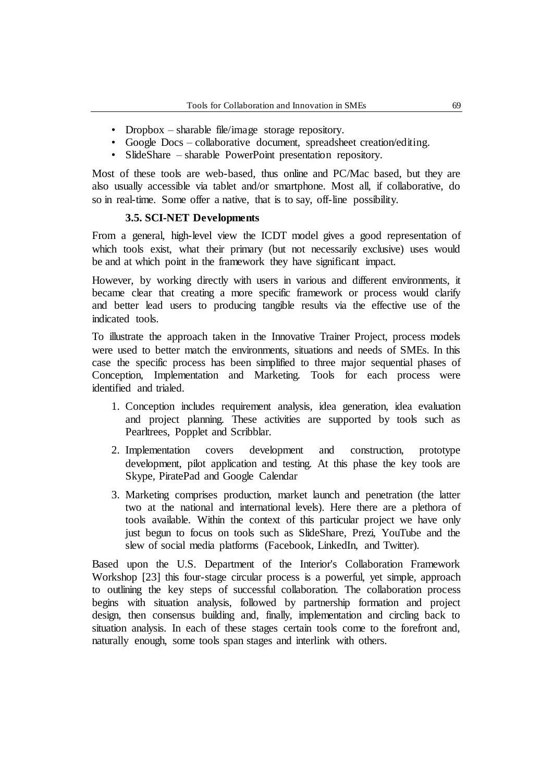- Dropbox sharable file/image storage repository.
- Google Docs collaborative document, spreadsheet creation/editing.
- SlideShare sharable PowerPoint presentation repository.

Most of these tools are web-based, thus online and PC/Mac based, but they are also usually accessible via tablet and/or smartphone. Most all, if collaborative, do so in real-time. Some offer a native, that is to say, off-line possibility.

## **3.5. SCI-NET Developments**

From a general, high-level view the ICDT model gives a good representation of which tools exist, what their primary (but not necessarily exclusive) uses would be and at which point in the framework they have significant impact.

However, by working directly with users in various and different environments, it became clear that creating a more specific framework or process would clarify and better lead users to producing tangible results via the effective use of the indicated tools.

To illustrate the approach taken in the Innovative Trainer Project, process models were used to better match the environments, situations and needs of SMEs. In this case the specific process has been simplified to three major sequential phases of Conception, Implementation and Marketing. Tools for each process were identified and trialed.

- 1. Conception includes requirement analysis, idea generation, idea evaluation and project planning. These activities are supported by tools such as Pearltrees, Popplet and Scribblar.
- 2. Implementation covers development and construction, prototype development, pilot application and testing. At this phase the key tools are Skype, PiratePad and Google Calendar
- 3. Marketing comprises production, market launch and penetration (the latter two at the national and international levels). Here there are a plethora of tools available. Within the context of this particular project we have only just begun to focus on tools such as SlideShare, Prezi, YouTube and the slew of social media platforms (Facebook, LinkedIn, and Twitter).

Based upon the U.S. Department of the Interior's Collaboration Framework Workshop [23] this four-stage circular process is a powerful, yet simple, approach to outlining the key steps of successful collaboration. The collaboration process begins with situation analysis, followed by partnership formation and project design, then consensus building and, finally, implementation and circling back to situation analysis. In each of these stages certain tools come to the forefront and, naturally enough, some tools span stages and interlink with others.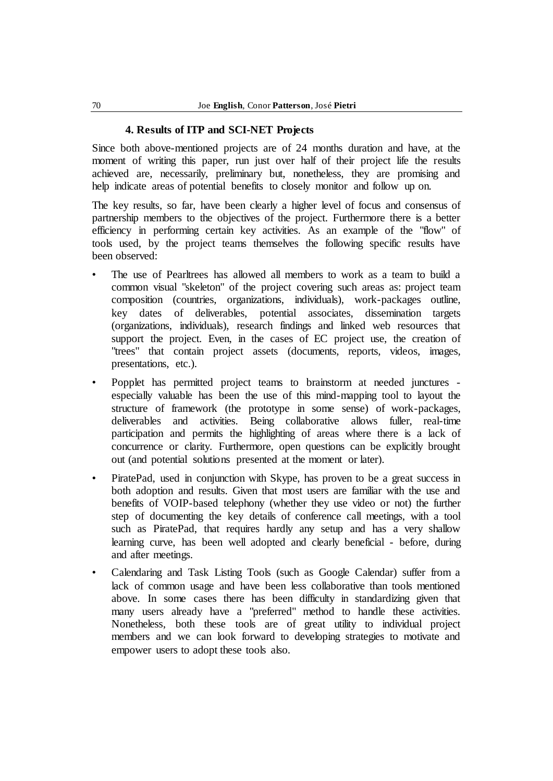## **4. Results of ITP and SCI-NET Projects**

Since both above-mentioned projects are of 24 months duration and have, at the moment of writing this paper, run just over half of their project life the results achieved are, necessarily, preliminary but, nonetheless, they are promising and help indicate areas of potential benefits to closely monitor and follow up on.

The key results, so far, have been clearly a higher level of focus and consensus of partnership members to the objectives of the project. Furthermore there is a better efficiency in performing certain key activities. As an example of the "flow" of tools used, by the project teams themselves the following specific results have been observed:

- The use of Pearltrees has allowed all members to work as a team to build a common visual "skeleton" of the project covering such areas as: project team composition (countries, organizations, individuals), work-packages outline, key dates of deliverables, potential associates, dissemination targets (organizations, individuals), research findings and linked web resources that support the project. Even, in the cases of EC project use, the creation of "trees" that contain project assets (documents, reports, videos, images, presentations, etc.).
- Popplet has permitted project teams to brainstorm at needed junctures especially valuable has been the use of this mind-mapping tool to layout the structure of framework (the prototype in some sense) of work-packages, deliverables and activities. Being collaborative allows fuller, real-time participation and permits the highlighting of areas where there is a lack of concurrence or clarity. Furthermore, open questions can be explicitly brought out (and potential solutions presented at the moment or later).
- PiratePad, used in conjunction with Skype, has proven to be a great success in both adoption and results. Given that most users are familiar with the use and benefits of VOIP-based telephony (whether they use video or not) the further step of documenting the key details of conference call meetings, with a tool such as PiratePad, that requires hardly any setup and has a very shallow learning curve, has been well adopted and clearly beneficial - before, during and after meetings.
- Calendaring and Task Listing Tools (such as Google Calendar) suffer from a lack of common usage and have been less collaborative than tools mentioned above. In some cases there has been difficulty in standardizing given that many users already have a "preferred" method to handle these activities. Nonetheless, both these tools are of great utility to individual project members and we can look forward to developing strategies to motivate and empower users to adopt these tools also.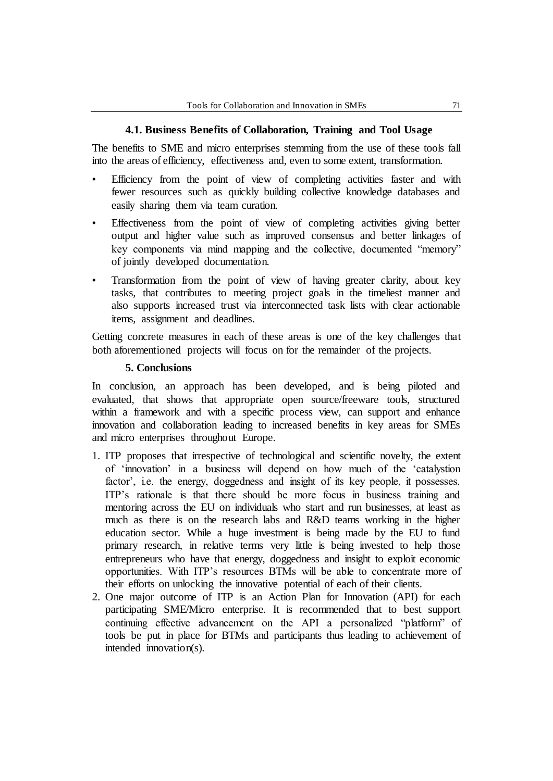# **4.1. Business Benefits of Collaboration, Training and Tool Usage**

The benefits to SME and micro enterprises stemming from the use of these tools fall into the areas of efficiency, effectiveness and, even to some extent, transformation.

- Efficiency from the point of view of completing activities faster and with fewer resources such as quickly building collective knowledge databases and easily sharing them via team curation.
- Effectiveness from the point of view of completing activities giving better output and higher value such as improved consensus and better linkages of key components via mind mapping and the collective, documented "memory" of jointly developed documentation.
- Transformation from the point of view of having greater clarity, about key tasks, that contributes to meeting project goals in the timeliest manner and also supports increased trust via interconnected task lists with clear actionable items, assignment and deadlines.

Getting concrete measures in each of these areas is one of the key challenges that both aforementioned projects will focus on for the remainder of the projects.

## **5. Conclusions**

In conclusion, an approach has been developed, and is being piloted and evaluated, that shows that appropriate open source/freeware tools, structured within a framework and with a specific process view, can support and enhance innovation and collaboration leading to increased benefits in key areas for SMEs and micro enterprises throughout Europe.

- 1. ITP proposes that irrespective of technological and scientific novelty, the extent of ‗innovation' in a business will depend on how much of the ‗catalystion factor', i.e. the energy, doggedness and insight of its key people, it possesses. ITP's rationale is that there should be more focus in business training and mentoring across the EU on individuals who start and run businesses, at least as much as there is on the research labs and R&D teams working in the higher education sector. While a huge investment is being made by the EU to fund primary research, in relative terms very little is being invested to help those entrepreneurs who have that energy, doggedness and insight to exploit economic opportunities. With ITP's resources BTMs will be able to concentrate more of their efforts on unlocking the innovative potential of each of their clients.
- 2. One major outcome of ITP is an Action Plan for Innovation (API) for each participating SME/Micro enterprise. It is recommended that to best support continuing effective advancement on the API a personalized "platform" of tools be put in place for BTMs and participants thus leading to achievement of intended innovation(s).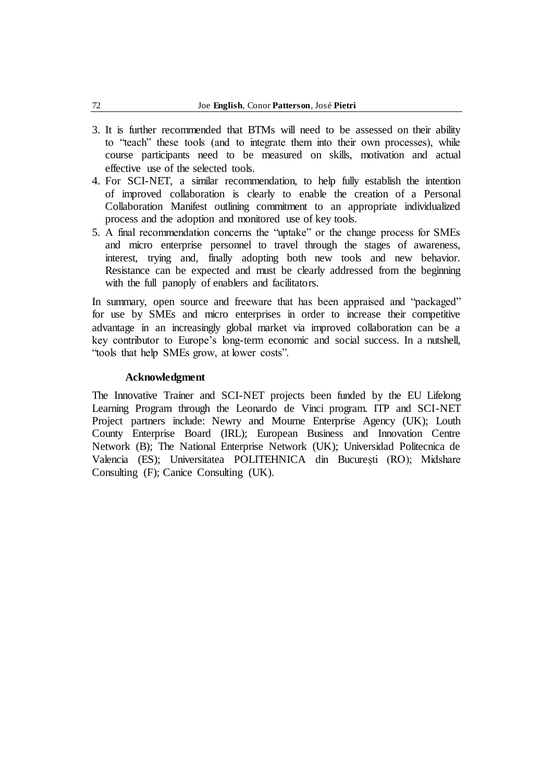- 3. It is further recommended that BTMs will need to be assessed on their ability to "teach" these tools (and to integrate them into their own processes), while course participants need to be measured on skills, motivation and actual effective use of the selected tools.
- 4. For SCI-NET, a similar recommendation, to help fully establish the intention of improved collaboration is clearly to enable the creation of a Personal Collaboration Manifest outlining commitment to an appropriate individualized process and the adoption and monitored use of key tools.
- 5. A final recommendation concerns the "uptake" or the change process for SMEs and micro enterprise personnel to travel through the stages of awareness, interest, trying and, finally adopting both new tools and new behavior. Resistance can be expected and must be clearly addressed from the beginning with the full panoply of enablers and facilitators.

In summary, open source and freeware that has been appraised and "packaged" for use by SMEs and micro enterprises in order to increase their competitive advantage in an increasingly global market via improved collaboration can be a key contributor to Europe's long-term economic and social success. In a nutshell, "tools that help SMEs grow, at lower costs".

#### **Acknowledgment**

The Innovative Trainer and SCI-NET projects been funded by the EU Lifelong Learning Program through the Leonardo de Vinci program. ITP and SCI-NET Project partners include: Newry and Mourne Enterprise Agency (UK); Louth County Enterprise Board (IRL); European Business and Innovation Centre Network (B); The National Enterprise Network (UK); Universidad Politecnica de Valencia (ES); Universitatea POLITEHNICA din București (RO); Midshare Consulting (F); Canice Consulting (UK).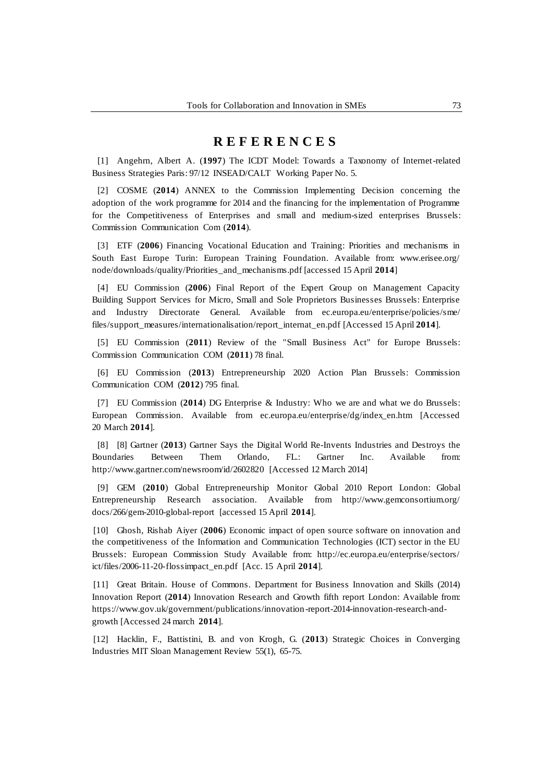# **R E F E R E N C E S**

[1] Angehrn, Albert A. (**1997**) The ICDT Model: Towards a Taxonomy of Internet-related Business Strategies Paris: 97/12 INSEAD/CALT Working Paper No. 5.

[2] COSME (**2014**) ANNEX to the Commission Implementing Decision concerning the adoption of the work programme for 2014 and the financing for the implementation of Programme for the Competitiveness of Enterprises and small and medium-sized enterprises Brussels: Commission Communication Com (**2014**).

[3] ETF (**2006**) Financing Vocational Education and Training: Priorities and mechanisms in South East Europe Turin: European Training Foundation. Available from: www.erisee.org/ node/downloads/quality/Priorities\_and\_mechanisms.pdf [accessed 15 April **2014**]

[4] EU Commission (**2006**) Final Report of the Expert Group on Management Capacity Building Support Services for Micro, Small and Sole Proprietors Businesses Brussels: Enterprise and Industry Directorate General. Available from ec.europa.eu/enterprise/policies/sme/ files/support\_measures/internationalisation/report\_internat\_en.pdf [Accessed 15 April **2014**].

[5] EU Commission (**2011**) Review of the "Small Business Act" for Europe Brussels: Commission Communication COM (**2011**) 78 final.

[6] EU Commission (**2013**) Entrepreneurship 2020 Action Plan Brussels: Commission Communication COM (**2012**) 795 final.

[7] EU Commission (**2014**) DG Enterprise & Industry: Who we are and what we do Brussels: European Commission. Available from ec.europa.eu/enterprise/dg/index\_en.htm [Accessed 20 March **2014**].

[8] [8] Gartner (**2013**) Gartner Says the Digital World Re-Invents Industries and Destroys the Boundaries Between Them Orlando, FL.: Gartner Inc. Available from: http://www.gartner.com/newsroom/id/2602820 [Accessed 12 March 2014]

[9] GEM (**2010**) Global Entrepreneurship Monitor Global 2010 Report London: Global Entrepreneurship Research association. Available from http://www.gemconsortium.org/ docs/266/gem-2010-global-report [accessed 15 April **2014**].

[10] Ghosh, Rishab Aiyer (**2006**) Economic impact of open source software on innovation and the competitiveness of the Information and Communication Technologies (ICT) sector in the EU Brussels: European Commission Study Available from: http://ec.europa.eu/enterprise/sectors/ ict/files/2006-11-20-flossimpact\_en.pdf [Acc. 15 April **2014**].

[11] Great Britain. House of Commons. Department for Business Innovation and Skills (2014) Innovation Report (**2014**) Innovation Research and Growth fifth report London: Available from: https://www.gov.uk/government/publications/innovation-report-2014-innovation-research-andgrowth [Accessed 24 march **2014**].

[12] Hacklin, F., Battistini, B. and von Krogh, G. (**2013**) Strategic Choices in Converging Industries MIT Sloan Management Review 55(1), 65-75.